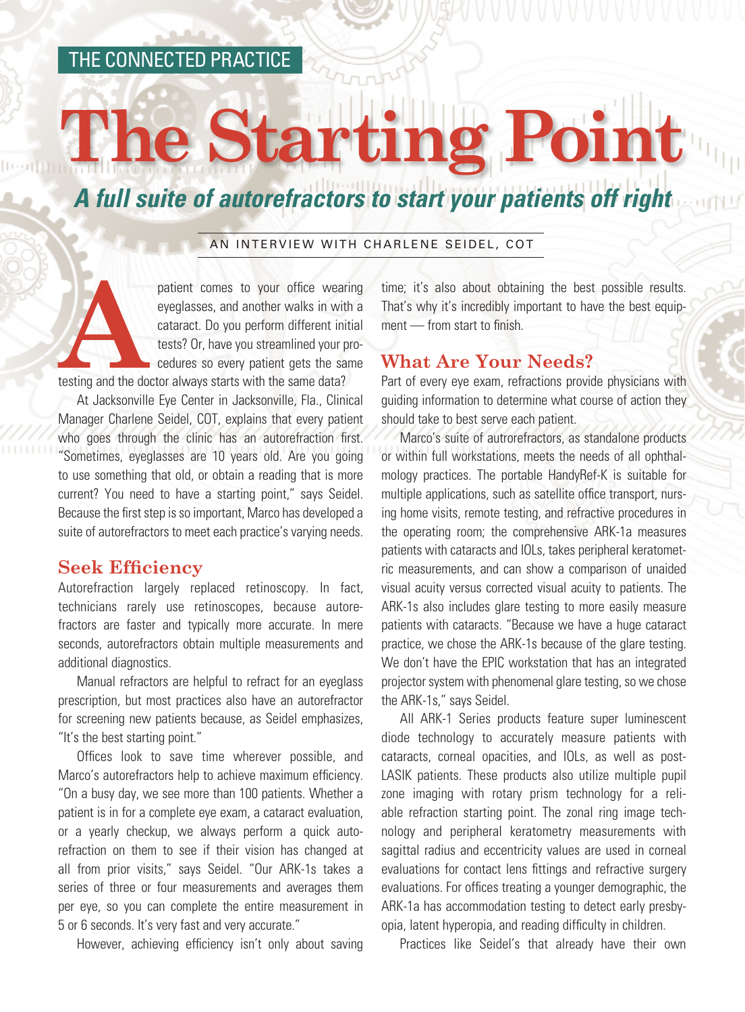### THE CONNECTED PRACTICE

# **P** Sta

## *A full suite of autorefractors to start your patients off right*

#### AN INTERVIEW WITH CHARLENE SEIDEL, COT

patient comes to your office wearing<br>
eyeglasses, and another walks in with a<br>
cataract. Do you perform different initial<br>
tests? Or, have you streamlined your pro-<br>
cedures so every patient gets the same<br>
testing and the eyeglasses, and another walks in with a cataract. Do you perform different initial tests? Or, have you streamlined your procedures so every patient gets the same

At Jacksonville Eye Center in Jacksonville, Fla., Clinical Manager Charlene Seidel, COT, explains that every patient who goes through the clinic has an autorefraction first. "Sometimes, eyeglasses are 10 years old. Are you going to use something that old, or obtain a reading that is more current? You need to have a starting point," says Seidel. Because the first step is so important, Marco has developed a suite of autorefractors to meet each practice's varying needs.

#### **Seek Efficiency**

Autorefraction largely replaced retinoscopy. In fact, technicians rarely use retinoscopes, because autorefractors are faster and typically more accurate. In mere seconds, autorefractors obtain multiple measurements and additional diagnostics.

Manual refractors are helpful to refract for an eyeglass prescription, but most practices also have an autorefractor for screening new patients because, as Seidel emphasizes, "It's the best starting point."

Offices look to save time wherever possible, and Marco's autorefractors help to achieve maximum efficiency. "On a busy day, we see more than 100 patients. Whether a patient is in for a complete eye exam, a cataract evaluation, or a yearly checkup, we always perform a quick autorefraction on them to see if their vision has changed at all from prior visits," says Seidel. "Our ARK-1s takes a series of three or four measurements and averages them per eye, so you can complete the entire measurement in 5 or 6 seconds. It's very fast and very accurate."

However, achieving efficiency isn't only about saving

time; it's also about obtaining the best possible results. That's why it's incredibly important to have the best equipment — from start to finish.

#### **What Are Your Needs?**

Part of every eye exam, refractions provide physicians with guiding information to determine what course of action they should take to best serve each patient.

Marco's suite of autrorefractors, as standalone products or within full workstations, meets the needs of all ophthalmology practices. The portable HandyRef-K is suitable for multiple applications, such as satellite office transport, nursing home visits, remote testing, and refractive procedures in the operating room; the comprehensive ARK-1a measures patients with cataracts and IOLs, takes peripheral keratometric measurements, and can show a comparison of unaided visual acuity versus corrected visual acuity to patients. The ARK-1s also includes glare testing to more easily measure patients with cataracts. "Because we have a huge cataract practice, we chose the ARK-1s because of the glare testing. We don't have the EPIC workstation that has an integrated projector system with phenomenal glare testing, so we chose the ARK-1s," says Seidel.

All ARK-1 Series products feature super luminescent diode technology to accurately measure patients with cataracts, corneal opacities, and IOLs, as well as post-LASIK patients. These products also utilize multiple pupil zone imaging with rotary prism technology for a reliable refraction starting point. The zonal ring image technology and peripheral keratometry measurements with sagittal radius and eccentricity values are used in corneal evaluations for contact lens fittings and refractive surgery evaluations. For offices treating a younger demographic, the ARK-1a has accommodation testing to detect early presbyopia, latent hyperopia, and reading difficulty in children.

Practices like Seidel's that already have their own